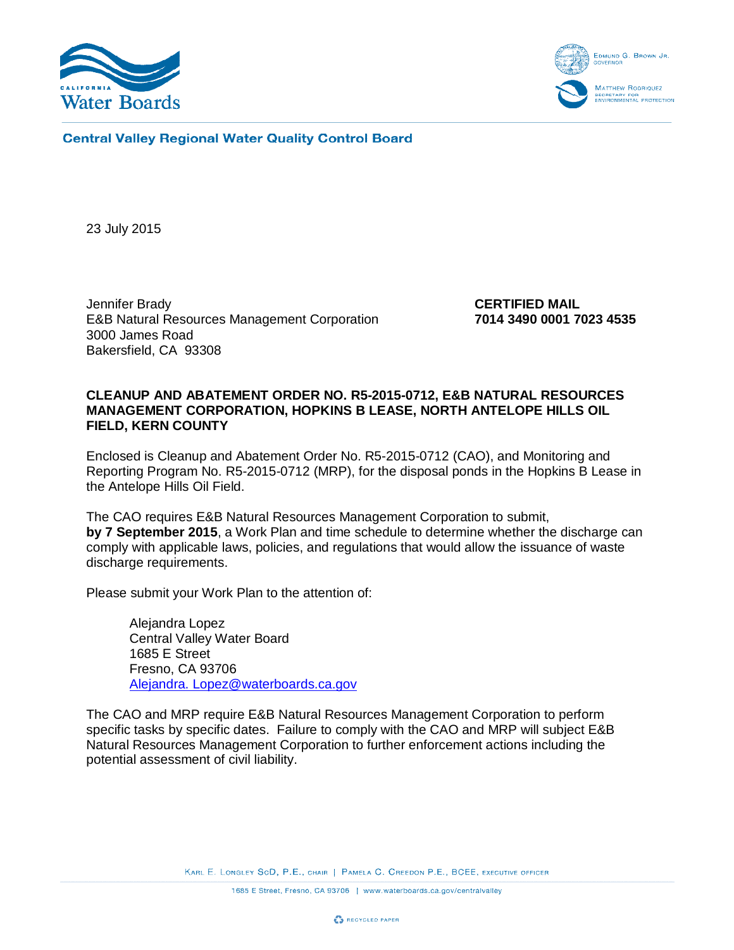



**Central Valley Regional Water Quality Control Board** 

23 July 2015

Jennifer Brady<br>E&B Natural Resources Management Corporation<br>**CERTIFIED MAIL**<br>7014 3490 0001 7023 4535 **E&B Natural Resources Management Corporation** 3000 James Road Bakersfield, CA 93308

# **CLEANUP AND ABATEMENT ORDER NO. R5-2015-0712, E&B NATURAL RESOURCES MANAGEMENT CORPORATION, HOPKINS B LEASE, NORTH ANTELOPE HILLS OIL FIELD, KERN COUNTY**

Enclosed is Cleanup and Abatement Order No. R5-2015-0712 (CAO), and Monitoring and Reporting Program No. R5-2015-0712 (MRP), for the disposal ponds in the Hopkins B Lease in the Antelope Hills Oil Field.

The CAO requires E&B Natural Resources Management Corporation to submit, **by 7 September 2015**, a Work Plan and time schedule to determine whether the discharge can comply with applicable laws, policies, and regulations that would allow the issuance of waste discharge requirements.

Please submit your Work Plan to the attention of:

Alejandra Lopez Central Valley Water Board 1685 E Street Fresno, CA 93706 Alejandra. Lopez@waterboards.ca.gov

The CAO and MRP require E&B Natural Resources Management Corporation to perform specific tasks by specific dates. Failure to comply with the CAO and MRP will subject E&B Natural Resources Management Corporation to further enforcement actions including the potential assessment of civil liability.

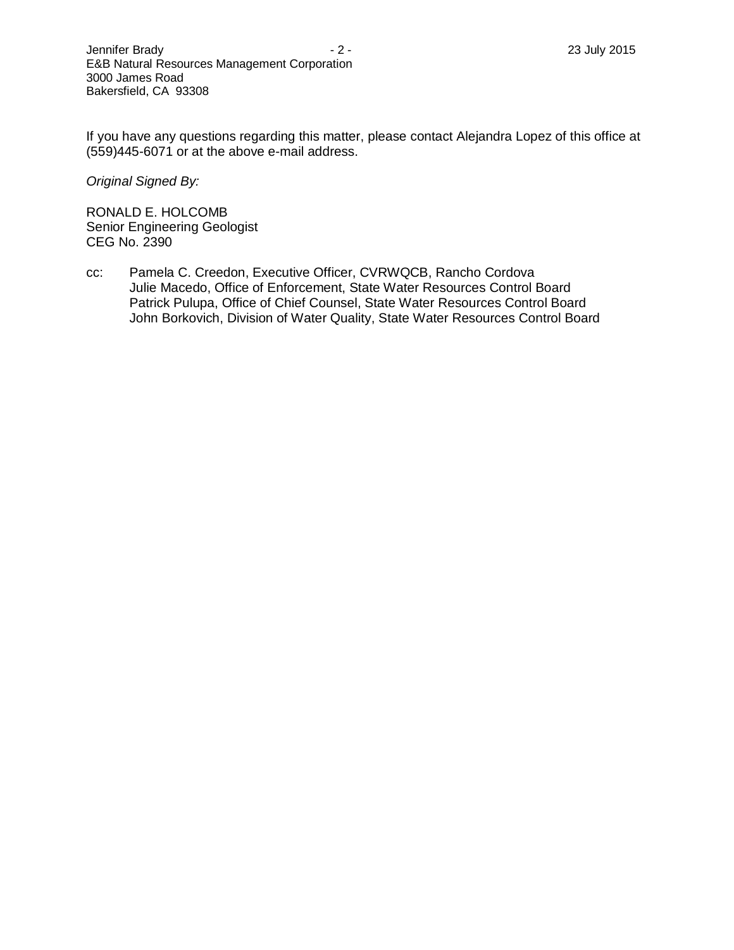If you have any questions regarding this matter, please contact Alejandra Lopez of this office at (559)445-6071 or at the above e-mail address.

*Original Signed By:*

RONALD E. HOLCOMB Senior Engineering Geologist CEG No. 2390

cc: Pamela C. Creedon, Executive Officer, CVRWQCB, Rancho Cordova Julie Macedo, Office of Enforcement, State Water Resources Control Board Patrick Pulupa, Office of Chief Counsel, State Water Resources Control Board John Borkovich, Division of Water Quality, State Water Resources Control Board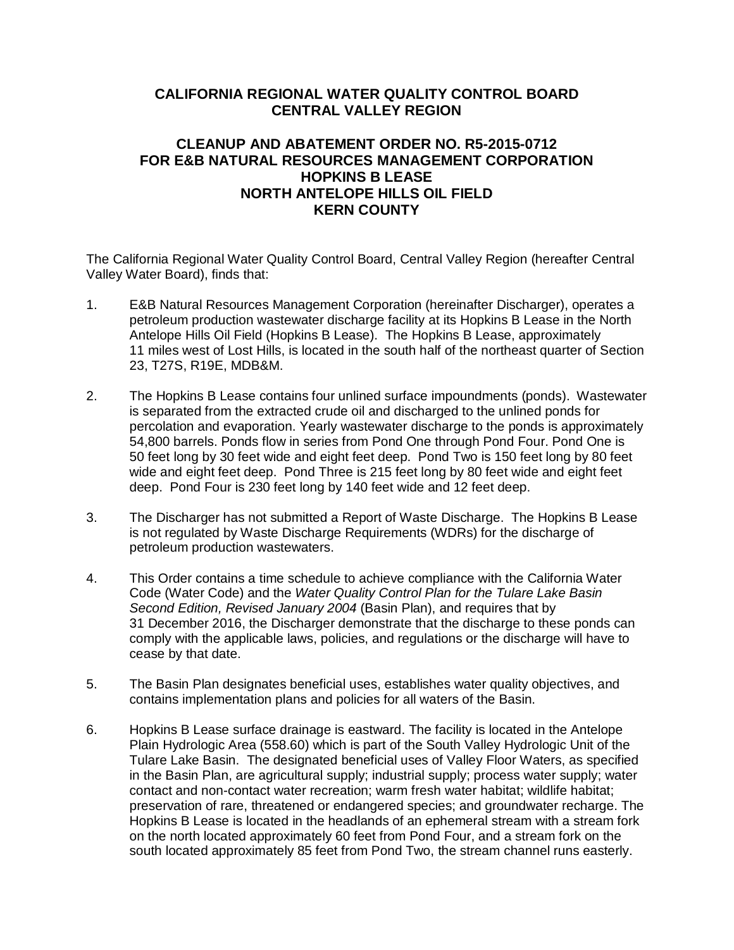# **CALIFORNIA REGIONAL WATER QUALITY CONTROL BOARD CENTRAL VALLEY REGION**

# **CLEANUP AND ABATEMENT ORDER NO. R5-2015-0712 FOR E&B NATURAL RESOURCES MANAGEMENT CORPORATION HOPKINS B LEASE NORTH ANTELOPE HILLS OIL FIELD KERN COUNTY**

The California Regional Water Quality Control Board, Central Valley Region (hereafter Central Valley Water Board), finds that:

- 1. E&B Natural Resources Management Corporation (hereinafter Discharger), operates a petroleum production wastewater discharge facility at its Hopkins B Lease in the North Antelope Hills Oil Field (Hopkins B Lease). The Hopkins B Lease, approximately 11 miles west of Lost Hills, is located in the south half of the northeast quarter of Section 23, T27S, R19E, MDB&M.
- 2. The Hopkins B Lease contains four unlined surface impoundments (ponds). Wastewater is separated from the extracted crude oil and discharged to the unlined ponds for percolation and evaporation. Yearly wastewater discharge to the ponds is approximately 54,800 barrels. Ponds flow in series from Pond One through Pond Four. Pond One is 50 feet long by 30 feet wide and eight feet deep. Pond Two is 150 feet long by 80 feet wide and eight feet deep. Pond Three is 215 feet long by 80 feet wide and eight feet deep. Pond Four is 230 feet long by 140 feet wide and 12 feet deep.
- 3. The Discharger has not submitted a Report of Waste Discharge. The Hopkins B Lease is not regulated by Waste Discharge Requirements (WDRs) for the discharge of petroleum production wastewaters.
- 4. This Order contains a time schedule to achieve compliance with the California Water Code (Water Code) and the *Water Quality Control Plan for the Tulare Lake Basin Second Edition, Revised January 2004* (Basin Plan), and requires that by 31 December 2016, the Discharger demonstrate that the discharge to these ponds can comply with the applicable laws, policies, and regulations or the discharge will have to cease by that date.
- 5. The Basin Plan designates beneficial uses, establishes water quality objectives, and contains implementation plans and policies for all waters of the Basin.
- 6. Hopkins B Lease surface drainage is eastward. The facility is located in the Antelope Plain Hydrologic Area (558.60) which is part of the South Valley Hydrologic Unit of the Tulare Lake Basin. The designated beneficial uses of Valley Floor Waters, as specified in the Basin Plan, are agricultural supply; industrial supply; process water supply; water contact and non-contact water recreation; warm fresh water habitat; wildlife habitat; preservation of rare, threatened or endangered species; and groundwater recharge. The Hopkins B Lease is located in the headlands of an ephemeral stream with a stream fork on the north located approximately 60 feet from Pond Four, and a stream fork on the south located approximately 85 feet from Pond Two, the stream channel runs easterly.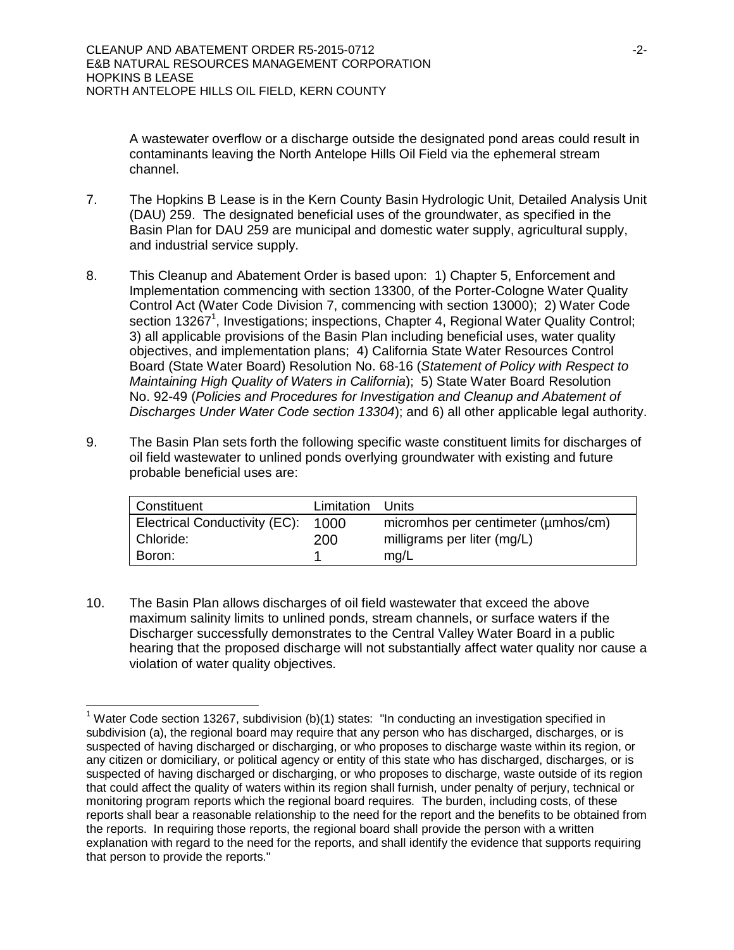A wastewater overflow or a discharge outside the designated pond areas could result in contaminants leaving the North Antelope Hills Oil Field via the ephemeral stream channel.

- 7. The Hopkins B Lease is in the Kern County Basin Hydrologic Unit, Detailed Analysis Unit (DAU) 259. The designated beneficial uses of the groundwater, as specified in the Basin Plan for DAU 259 are municipal and domestic water supply, agricultural supply, and industrial service supply.
- 8. This Cleanup and Abatement Order is based upon: 1) Chapter 5, Enforcement and Implementation commencing with section 13300, of the Porter-Cologne Water Quality Control Act (Water Code Division 7, commencing with section 13000); 2) Water Code section 13267<sup>1</sup>, Investigations; inspections, Chapter 4, Regional Water Quality Control; 3) all applicable provisions of the Basin Plan including beneficial uses, water quality objectives, and implementation plans; 4) California State Water Resources Control Board (State Water Board) Resolution No. 68-16 (*Statement of Policy with Respect to Maintaining High Quality of Waters in California*); 5) State Water Board Resolution No. 92-49 (*Policies and Procedures for Investigation and Cleanup and Abatement of Discharges Under Water Code section 13304*); and 6) all other applicable legal authority.
- 9. The Basin Plan sets forth the following specific waste constituent limits for discharges of oil field wastewater to unlined ponds overlying groundwater with existing and future probable beneficial uses are:

| Constituent                        | Limitation | Units                               |
|------------------------------------|------------|-------------------------------------|
| Electrical Conductivity (EC): 1000 |            | micromhos per centimeter (umhos/cm) |
| Chloride:                          | 200        | milligrams per liter (mg/L)         |
| Boron:                             |            | mg/L                                |

10. The Basin Plan allows discharges of oil field wastewater that exceed the above maximum salinity limits to unlined ponds, stream channels, or surface waters if the Discharger successfully demonstrates to the Central Valley Water Board in a public hearing that the proposed discharge will not substantially affect water quality nor cause a violation of water quality objectives.

 $\overline{\phantom{a}}$ 

<sup>&</sup>lt;sup>1</sup> Water Code section 13267, subdivision (b)(1) states: "In conducting an investigation specified in subdivision (a), the regional board may require that any person who has discharged, discharges, or is suspected of having discharged or discharging, or who proposes to discharge waste within its region, or any citizen or domiciliary, or political agency or entity of this state who has discharged, discharges, or is suspected of having discharged or discharging, or who proposes to discharge, waste outside of its region that could affect the quality of waters within its region shall furnish, under penalty of perjury, technical or monitoring program reports which the regional board requires. The burden, including costs, of these reports shall bear a reasonable relationship to the need for the report and the benefits to be obtained from the reports. In requiring those reports, the regional board shall provide the person with a written explanation with regard to the need for the reports, and shall identify the evidence that supports requiring that person to provide the reports."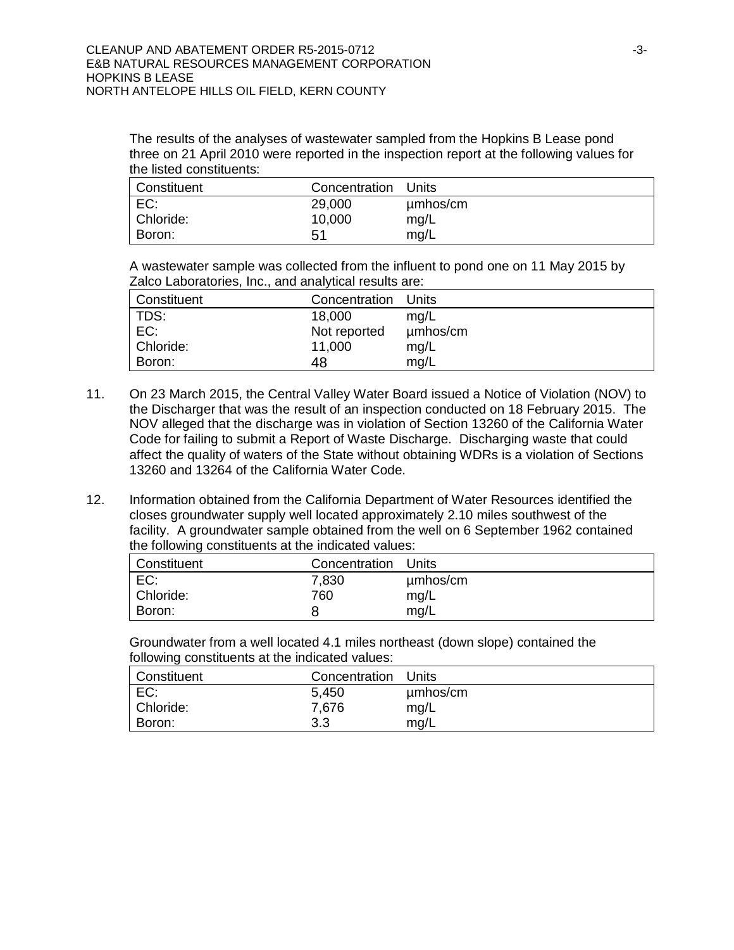The results of the analyses of wastewater sampled from the Hopkins B Lease pond three on 21 April 2010 were reported in the inspection report at the following values for the listed constituents:

| Constituent | Concentration | Units    |
|-------------|---------------|----------|
| EC:         | 29,000        | umhos/cm |
| Chloride:   | 10,000        | mg/L     |
| Boron:      | 51            | mg/L     |

A wastewater sample was collected from the influent to pond one on 11 May 2015 by Zalco Laboratories, Inc., and analytical results are:

| Constituent | Concentration Units |          |
|-------------|---------------------|----------|
| TDS:        | 18,000              | mq/L     |
| EC:         | Not reported        | µmbos/cm |
| Chloride:   | 11,000              | mg/L     |
| Boron:      | 48                  | mg/L     |

- 11. On 23 March 2015, the Central Valley Water Board issued a Notice of Violation (NOV) to the Discharger that was the result of an inspection conducted on 18 February 2015. The NOV alleged that the discharge was in violation of Section 13260 of the California Water Code for failing to submit a Report of Waste Discharge. Discharging waste that could affect the quality of waters of the State without obtaining WDRs is a violation of Sections 13260 and 13264 of the California Water Code.
- 12. Information obtained from the California Department of Water Resources identified the closes groundwater supply well located approximately 2.10 miles southwest of the facility. A groundwater sample obtained from the well on 6 September 1962 contained the following constituents at the indicated values:

| Constituent | Concentration Units |          |
|-------------|---------------------|----------|
| EC:         | 7,830               | umhos/cm |
| Chloride:   | 760                 | mg/L     |
| Boron:      | 8                   | mg/L     |

Groundwater from a well located 4.1 miles northeast (down slope) contained the following constituents at the indicated values:

| Constituent | Concentration | Units    |
|-------------|---------------|----------|
| EC:         | 5,450         | umhos/cm |
| Chloride:   | 7,676         | mg/L     |
| Boron:      | 3.3           | mq/L     |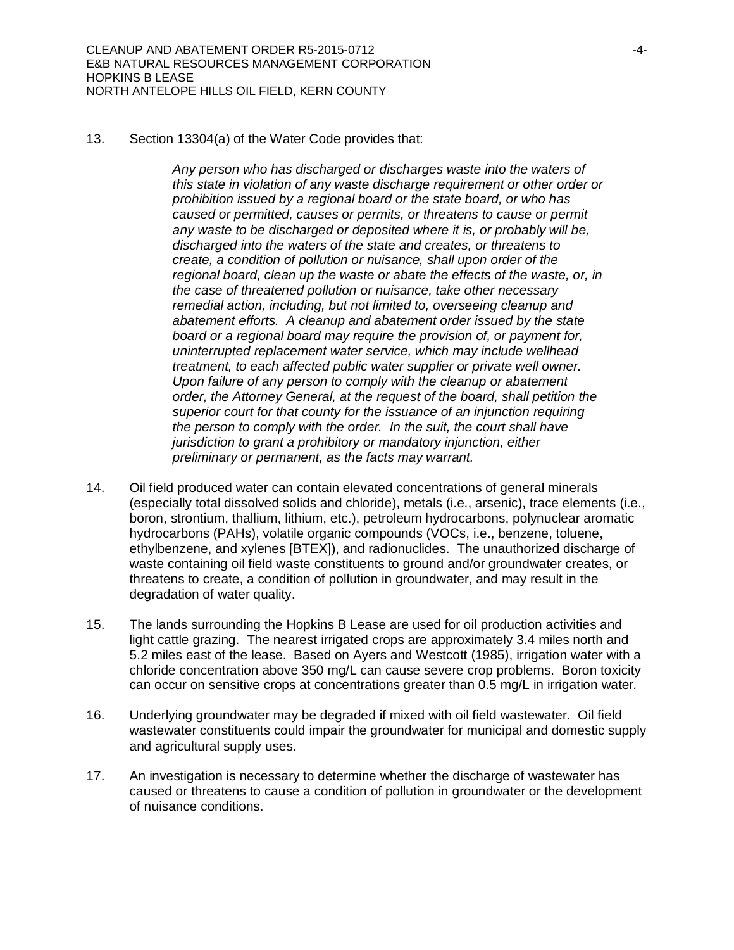13. Section 13304(a) of the Water Code provides that:

*Any person who has discharged or discharges waste into the waters of this state in violation of any waste discharge requirement or other order or prohibition issued by a regional board or the state board, or who has caused or permitted, causes or permits, or threatens to cause or permit any waste to be discharged or deposited where it is, or probably will be, discharged into the waters of the state and creates, or threatens to create, a condition of pollution or nuisance, shall upon order of the regional board, clean up the waste or abate the effects of the waste, or, in the case of threatened pollution or nuisance, take other necessary remedial action, including, but not limited to, overseeing cleanup and abatement efforts. A cleanup and abatement order issued by the state board or a regional board may require the provision of, or payment for, uninterrupted replacement water service, which may include wellhead treatment, to each affected public water supplier or private well owner. Upon failure of any person to comply with the cleanup or abatement order, the Attorney General, at the request of the board, shall petition the superior court for that county for the issuance of an injunction requiring the person to comply with the order. In the suit, the court shall have jurisdiction to grant a prohibitory or mandatory injunction, either preliminary or permanent, as the facts may warrant.*

- 14. Oil field produced water can contain elevated concentrations of general minerals (especially total dissolved solids and chloride), metals (i.e., arsenic), trace elements (i.e., boron, strontium, thallium, lithium, etc.), petroleum hydrocarbons, polynuclear aromatic hydrocarbons (PAHs), volatile organic compounds (VOCs, i.e., benzene, toluene, ethylbenzene, and xylenes [BTEX]), and radionuclides. The unauthorized discharge of waste containing oil field waste constituents to ground and/or groundwater creates, or threatens to create, a condition of pollution in groundwater, and may result in the degradation of water quality.
- 15. The lands surrounding the Hopkins B Lease are used for oil production activities and light cattle grazing. The nearest irrigated crops are approximately 3.4 miles north and 5.2 miles east of the lease. Based on Ayers and Westcott (1985), irrigation water with a chloride concentration above 350 mg/L can cause severe crop problems. Boron toxicity can occur on sensitive crops at concentrations greater than 0.5 mg/L in irrigation water*.*
- 16. Underlying groundwater may be degraded if mixed with oil field wastewater. Oil field wastewater constituents could impair the groundwater for municipal and domestic supply and agricultural supply uses.
- 17. An investigation is necessary to determine whether the discharge of wastewater has caused or threatens to cause a condition of pollution in groundwater or the development of nuisance conditions.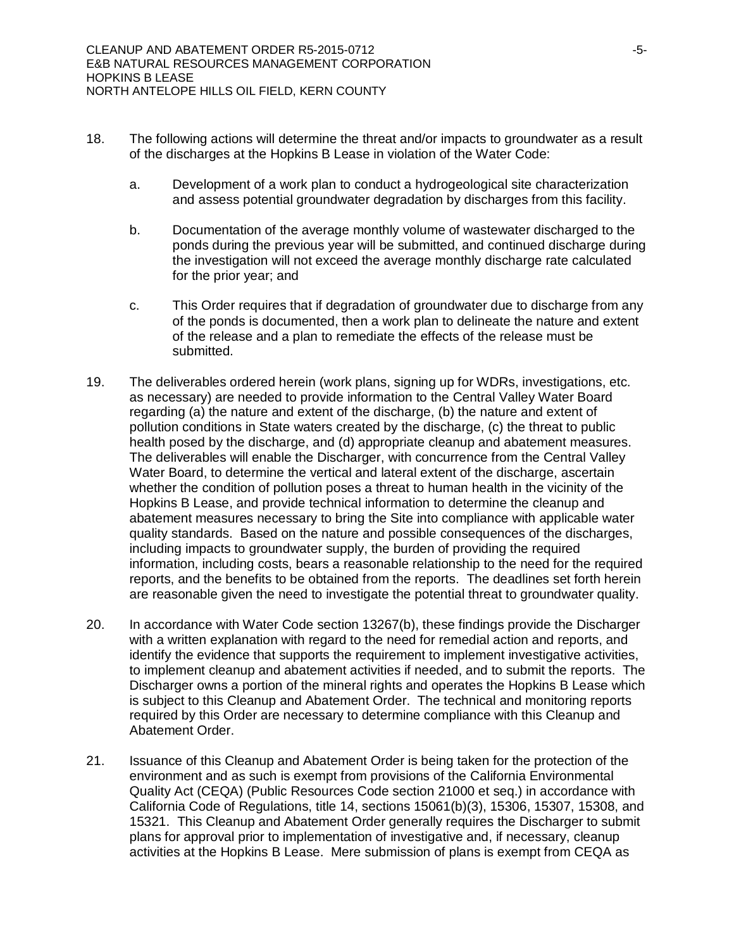- 18. The following actions will determine the threat and/or impacts to groundwater as a result of the discharges at the Hopkins B Lease in violation of the Water Code:
	- a. Development of a work plan to conduct a hydrogeological site characterization and assess potential groundwater degradation by discharges from this facility.
	- b. Documentation of the average monthly volume of wastewater discharged to the ponds during the previous year will be submitted, and continued discharge during the investigation will not exceed the average monthly discharge rate calculated for the prior year; and
	- c. This Order requires that if degradation of groundwater due to discharge from any of the ponds is documented, then a work plan to delineate the nature and extent of the release and a plan to remediate the effects of the release must be submitted.
- 19. The deliverables ordered herein (work plans, signing up for WDRs, investigations, etc. as necessary) are needed to provide information to the Central Valley Water Board regarding (a) the nature and extent of the discharge, (b) the nature and extent of pollution conditions in State waters created by the discharge, (c) the threat to public health posed by the discharge, and (d) appropriate cleanup and abatement measures. The deliverables will enable the Discharger, with concurrence from the Central Valley Water Board, to determine the vertical and lateral extent of the discharge, ascertain whether the condition of pollution poses a threat to human health in the vicinity of the Hopkins B Lease, and provide technical information to determine the cleanup and abatement measures necessary to bring the Site into compliance with applicable water quality standards. Based on the nature and possible consequences of the discharges, including impacts to groundwater supply, the burden of providing the required information, including costs, bears a reasonable relationship to the need for the required reports, and the benefits to be obtained from the reports. The deadlines set forth herein are reasonable given the need to investigate the potential threat to groundwater quality.
- 20. In accordance with Water Code section 13267(b), these findings provide the Discharger with a written explanation with regard to the need for remedial action and reports, and identify the evidence that supports the requirement to implement investigative activities, to implement cleanup and abatement activities if needed, and to submit the reports. The Discharger owns a portion of the mineral rights and operates the Hopkins B Lease which is subject to this Cleanup and Abatement Order. The technical and monitoring reports required by this Order are necessary to determine compliance with this Cleanup and Abatement Order.
- 21. Issuance of this Cleanup and Abatement Order is being taken for the protection of the environment and as such is exempt from provisions of the California Environmental Quality Act (CEQA) (Public Resources Code section 21000 et seq.) in accordance with California Code of Regulations, title 14, sections 15061(b)(3), 15306, 15307, 15308, and 15321. This Cleanup and Abatement Order generally requires the Discharger to submit plans for approval prior to implementation of investigative and, if necessary, cleanup activities at the Hopkins B Lease. Mere submission of plans is exempt from CEQA as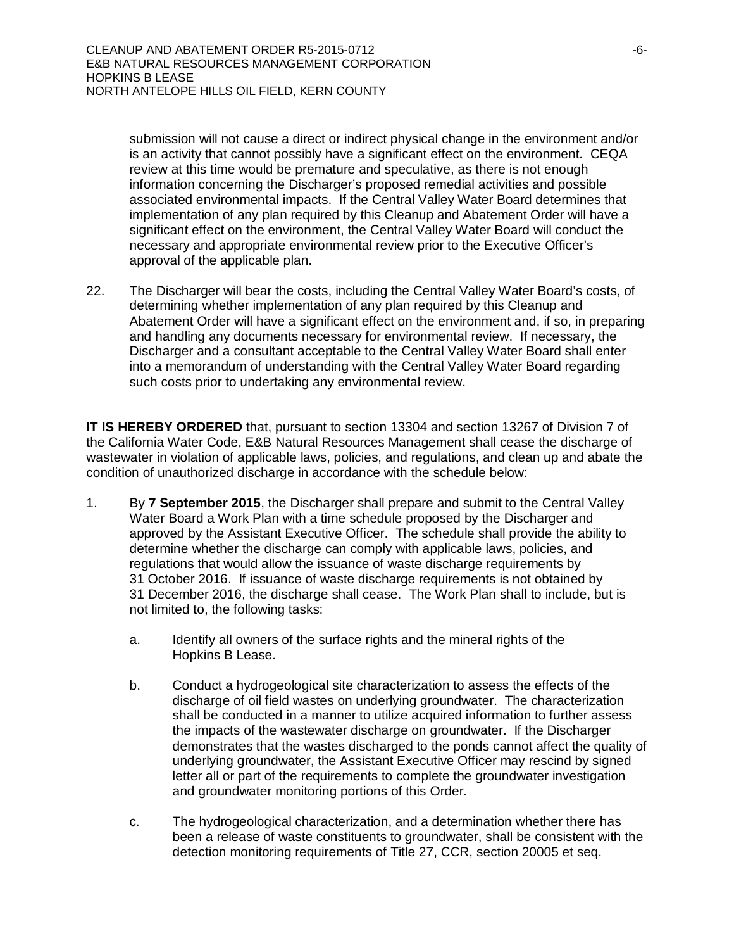submission will not cause a direct or indirect physical change in the environment and/or is an activity that cannot possibly have a significant effect on the environment. CEQA review at this time would be premature and speculative, as there is not enough information concerning the Discharger's proposed remedial activities and possible associated environmental impacts. If the Central Valley Water Board determines that implementation of any plan required by this Cleanup and Abatement Order will have a significant effect on the environment, the Central Valley Water Board will conduct the necessary and appropriate environmental review prior to the Executive Officer's approval of the applicable plan.

22. The Discharger will bear the costs, including the Central Valley Water Board's costs, of determining whether implementation of any plan required by this Cleanup and Abatement Order will have a significant effect on the environment and, if so, in preparing and handling any documents necessary for environmental review. If necessary, the Discharger and a consultant acceptable to the Central Valley Water Board shall enter into a memorandum of understanding with the Central Valley Water Board regarding such costs prior to undertaking any environmental review.

**IT IS HEREBY ORDERED** that, pursuant to section 13304 and section 13267 of Division 7 of the California Water Code, E&B Natural Resources Management shall cease the discharge of wastewater in violation of applicable laws, policies, and regulations, and clean up and abate the condition of unauthorized discharge in accordance with the schedule below:

- 1. By **7 September 2015**, the Discharger shall prepare and submit to the Central Valley Water Board a Work Plan with a time schedule proposed by the Discharger and approved by the Assistant Executive Officer. The schedule shall provide the ability to determine whether the discharge can comply with applicable laws, policies, and regulations that would allow the issuance of waste discharge requirements by 31 October 2016. If issuance of waste discharge requirements is not obtained by 31 December 2016, the discharge shall cease. The Work Plan shall to include, but is not limited to, the following tasks:
	- a. Identify all owners of the surface rights and the mineral rights of the Hopkins B Lease.
	- b. Conduct a hydrogeological site characterization to assess the effects of the discharge of oil field wastes on underlying groundwater. The characterization shall be conducted in a manner to utilize acquired information to further assess the impacts of the wastewater discharge on groundwater. If the Discharger demonstrates that the wastes discharged to the ponds cannot affect the quality of underlying groundwater, the Assistant Executive Officer may rescind by signed letter all or part of the requirements to complete the groundwater investigation and groundwater monitoring portions of this Order.
	- c. The hydrogeological characterization, and a determination whether there has been a release of waste constituents to groundwater, shall be consistent with the detection monitoring requirements of Title 27, CCR, section 20005 et seq.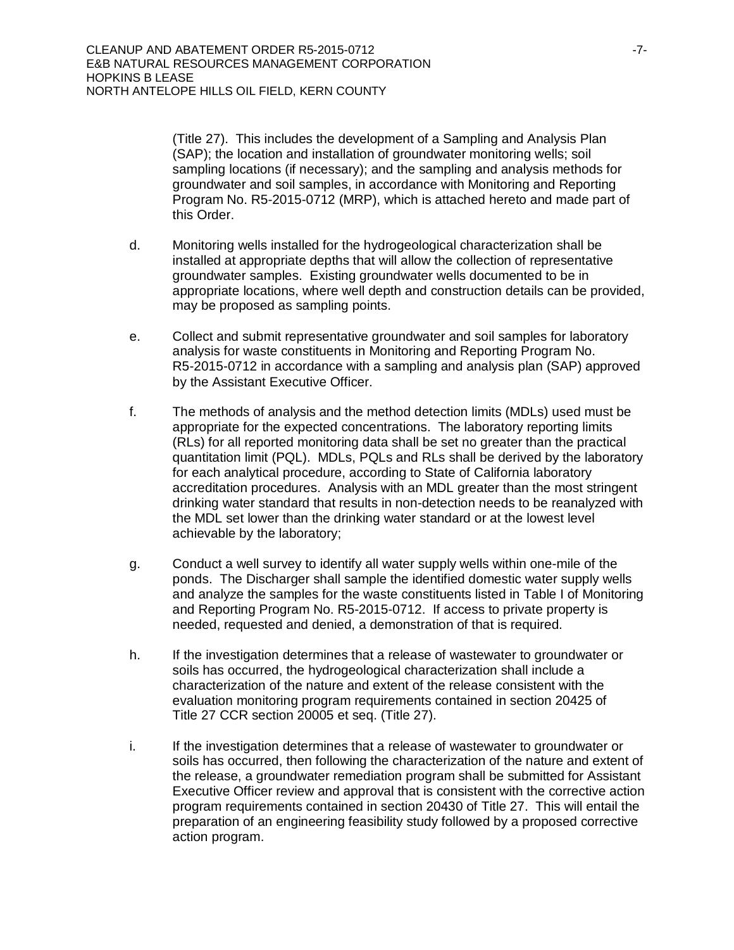(Title 27). This includes the development of a Sampling and Analysis Plan (SAP); the location and installation of groundwater monitoring wells; soil sampling locations (if necessary); and the sampling and analysis methods for groundwater and soil samples, in accordance with Monitoring and Reporting Program No. R5-2015-0712 (MRP), which is attached hereto and made part of this Order.

- d. Monitoring wells installed for the hydrogeological characterization shall be installed at appropriate depths that will allow the collection of representative groundwater samples. Existing groundwater wells documented to be in appropriate locations, where well depth and construction details can be provided, may be proposed as sampling points.
- e. Collect and submit representative groundwater and soil samples for laboratory analysis for waste constituents in Monitoring and Reporting Program No. R5-2015-0712 in accordance with a sampling and analysis plan (SAP) approved by the Assistant Executive Officer.
- f. The methods of analysis and the method detection limits (MDLs) used must be appropriate for the expected concentrations. The laboratory reporting limits (RLs) for all reported monitoring data shall be set no greater than the practical quantitation limit (PQL). MDLs, PQLs and RLs shall be derived by the laboratory for each analytical procedure, according to State of California laboratory accreditation procedures. Analysis with an MDL greater than the most stringent drinking water standard that results in non-detection needs to be reanalyzed with the MDL set lower than the drinking water standard or at the lowest level achievable by the laboratory;
- g. Conduct a well survey to identify all water supply wells within one-mile of the ponds. The Discharger shall sample the identified domestic water supply wells and analyze the samples for the waste constituents listed in Table I of Monitoring and Reporting Program No. R5-2015-0712. If access to private property is needed, requested and denied, a demonstration of that is required.
- h. If the investigation determines that a release of wastewater to groundwater or soils has occurred, the hydrogeological characterization shall include a characterization of the nature and extent of the release consistent with the evaluation monitoring program requirements contained in section 20425 of Title 27 CCR section 20005 et seq. (Title 27).
- i. If the investigation determines that a release of wastewater to groundwater or soils has occurred, then following the characterization of the nature and extent of the release, a groundwater remediation program shall be submitted for Assistant Executive Officer review and approval that is consistent with the corrective action program requirements contained in section 20430 of Title 27. This will entail the preparation of an engineering feasibility study followed by a proposed corrective action program.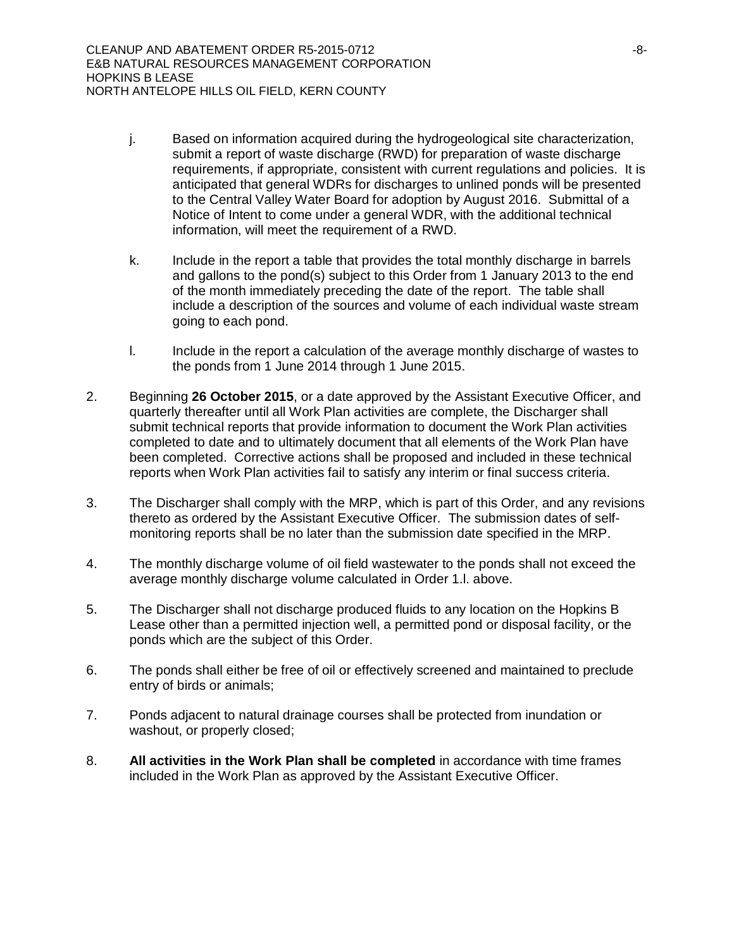- j. Based on information acquired during the hydrogeological site characterization, submit a report of waste discharge (RWD) for preparation of waste discharge requirements, if appropriate, consistent with current regulations and policies. It is anticipated that general WDRs for discharges to unlined ponds will be presented to the Central Valley Water Board for adoption by August 2016. Submittal of a Notice of Intent to come under a general WDR, with the additional technical information, will meet the requirement of a RWD.
- k. Include in the report a table that provides the total monthly discharge in barrels and gallons to the pond(s) subject to this Order from 1 January 2013 to the end of the month immediately preceding the date of the report. The table shall include a description of the sources and volume of each individual waste stream going to each pond.
- l. Include in the report a calculation of the average monthly discharge of wastes to the ponds from 1 June 2014 through 1 June 2015.
- 2. Beginning **26 October 2015**, or a date approved by the Assistant Executive Officer, and quarterly thereafter until all Work Plan activities are complete, the Discharger shall submit technical reports that provide information to document the Work Plan activities completed to date and to ultimately document that all elements of the Work Plan have been completed. Corrective actions shall be proposed and included in these technical reports when Work Plan activities fail to satisfy any interim or final success criteria.
- 3. The Discharger shall comply with the MRP, which is part of this Order, and any revisions thereto as ordered by the Assistant Executive Officer. The submission dates of selfmonitoring reports shall be no later than the submission date specified in the MRP.
- 4. The monthly discharge volume of oil field wastewater to the ponds shall not exceed the average monthly discharge volume calculated in Order 1.l. above.
- 5. The Discharger shall not discharge produced fluids to any location on the Hopkins B Lease other than a permitted injection well, a permitted pond or disposal facility, or the ponds which are the subject of this Order.
- 6. The ponds shall either be free of oil or effectively screened and maintained to preclude entry of birds or animals;
- 7. Ponds adjacent to natural drainage courses shall be protected from inundation or washout, or properly closed;
- 8. **All activities in the Work Plan shall be completed** in accordance with time frames included in the Work Plan as approved by the Assistant Executive Officer.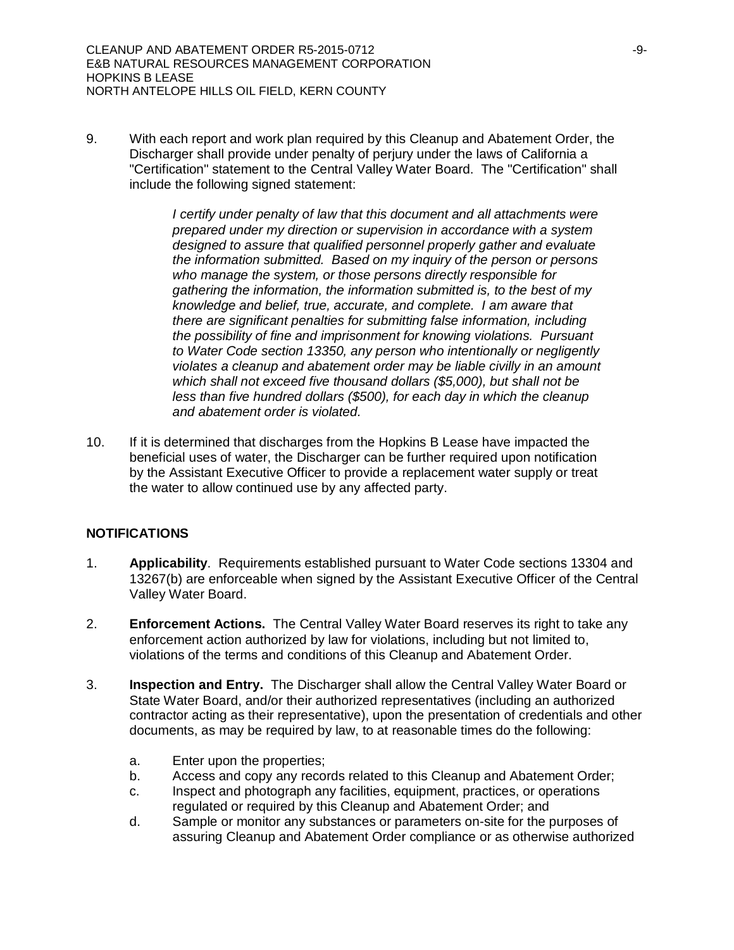9. With each report and work plan required by this Cleanup and Abatement Order, the Discharger shall provide under penalty of perjury under the laws of California a "Certification" statement to the Central Valley Water Board. The "Certification" shall include the following signed statement:

> *I certify under penalty of law that this document and all attachments were prepared under my direction or supervision in accordance with a system designed to assure that qualified personnel properly gather and evaluate the information submitted. Based on my inquiry of the person or persons who manage the system, or those persons directly responsible for gathering the information, the information submitted is, to the best of my knowledge and belief, true, accurate, and complete. I am aware that there are significant penalties for submitting false information, including the possibility of fine and imprisonment for knowing violations. Pursuant to Water Code section 13350, any person who intentionally or negligently violates a cleanup and abatement order may be liable civilly in an amount which shall not exceed five thousand dollars (\$5,000), but shall not be less than five hundred dollars (\$500), for each day in which the cleanup and abatement order is violated.*

10. If it is determined that discharges from the Hopkins B Lease have impacted the beneficial uses of water, the Discharger can be further required upon notification by the Assistant Executive Officer to provide a replacement water supply or treat the water to allow continued use by any affected party.

#### **NOTIFICATIONS**

- 1. **Applicability**. Requirements established pursuant to Water Code sections 13304 and 13267(b) are enforceable when signed by the Assistant Executive Officer of the Central Valley Water Board.
- 2. **Enforcement Actions.** The Central Valley Water Board reserves its right to take any enforcement action authorized by law for violations, including but not limited to, violations of the terms and conditions of this Cleanup and Abatement Order.
- 3. **Inspection and Entry.** The Discharger shall allow the Central Valley Water Board or State Water Board, and/or their authorized representatives (including an authorized contractor acting as their representative), upon the presentation of credentials and other documents, as may be required by law, to at reasonable times do the following:
	- a. Enter upon the properties;
	- b. Access and copy any records related to this Cleanup and Abatement Order;
	- c. Inspect and photograph any facilities, equipment, practices, or operations regulated or required by this Cleanup and Abatement Order; and
	- d. Sample or monitor any substances or parameters on-site for the purposes of assuring Cleanup and Abatement Order compliance or as otherwise authorized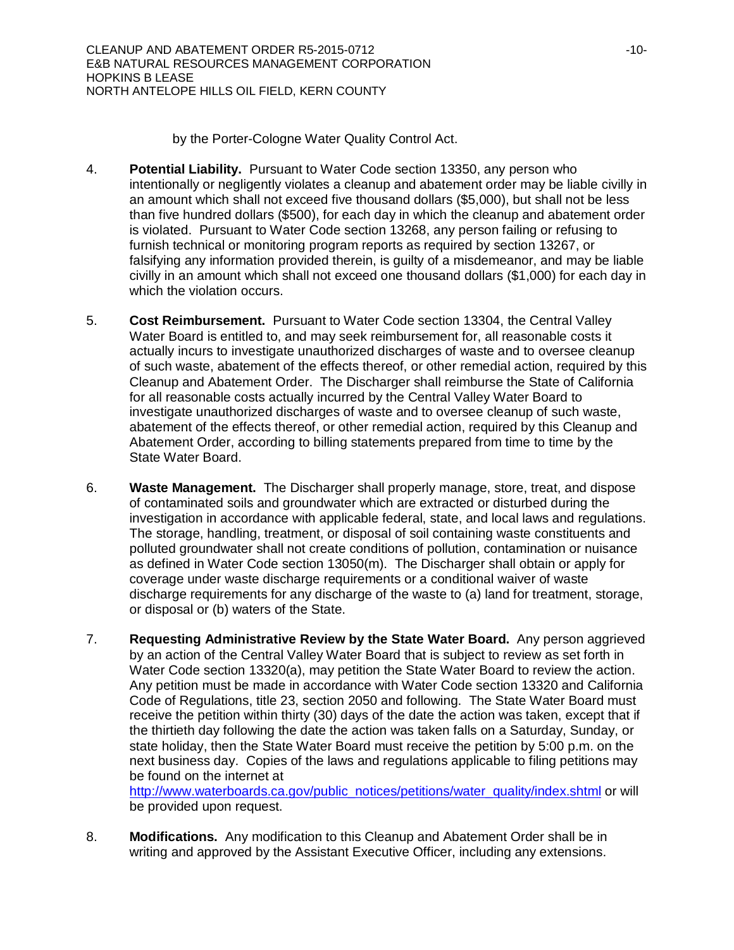by the Porter-Cologne Water Quality Control Act.

- 4. **Potential Liability.** Pursuant to Water Code section 13350, any person who intentionally or negligently violates a cleanup and abatement order may be liable civilly in an amount which shall not exceed five thousand dollars (\$5,000), but shall not be less than five hundred dollars (\$500), for each day in which the cleanup and abatement order is violated. Pursuant to Water Code section 13268, any person failing or refusing to furnish technical or monitoring program reports as required by section 13267, or falsifying any information provided therein, is guilty of a misdemeanor, and may be liable civilly in an amount which shall not exceed one thousand dollars (\$1,000) for each day in which the violation occurs.
- 5. **Cost Reimbursement.** Pursuant to Water Code section 13304, the Central Valley Water Board is entitled to, and may seek reimbursement for, all reasonable costs it actually incurs to investigate unauthorized discharges of waste and to oversee cleanup of such waste, abatement of the effects thereof, or other remedial action, required by this Cleanup and Abatement Order. The Discharger shall reimburse the State of California for all reasonable costs actually incurred by the Central Valley Water Board to investigate unauthorized discharges of waste and to oversee cleanup of such waste, abatement of the effects thereof, or other remedial action, required by this Cleanup and Abatement Order, according to billing statements prepared from time to time by the State Water Board.
- 6. **Waste Management.** The Discharger shall properly manage, store, treat, and dispose of contaminated soils and groundwater which are extracted or disturbed during the investigation in accordance with applicable federal, state, and local laws and regulations. The storage, handling, treatment, or disposal of soil containing waste constituents and polluted groundwater shall not create conditions of pollution, contamination or nuisance as defined in Water Code section 13050(m). The Discharger shall obtain or apply for coverage under waste discharge requirements or a conditional waiver of waste discharge requirements for any discharge of the waste to (a) land for treatment, storage, or disposal or (b) waters of the State.
- 7. **Requesting Administrative Review by the State Water Board.** Any person aggrieved by an action of the Central Valley Water Board that is subject to review as set forth in Water Code section 13320(a), may petition the State Water Board to review the action. Any petition must be made in accordance with Water Code section 13320 and California Code of Regulations, title 23, section 2050 and following. The State Water Board must receive the petition within thirty (30) days of the date the action was taken, except that if the thirtieth day following the date the action was taken falls on a Saturday, Sunday, or state holiday, then the State Water Board must receive the petition by 5:00 p.m. on the next business day. Copies of the laws and regulations applicable to filing petitions may be found on the internet at

http://www.waterboards.ca.gov/public\_notices/petitions/water\_quality/index.shtml or will be provided upon request.

8. **Modifications.** Any modification to this Cleanup and Abatement Order shall be in writing and approved by the Assistant Executive Officer, including any extensions.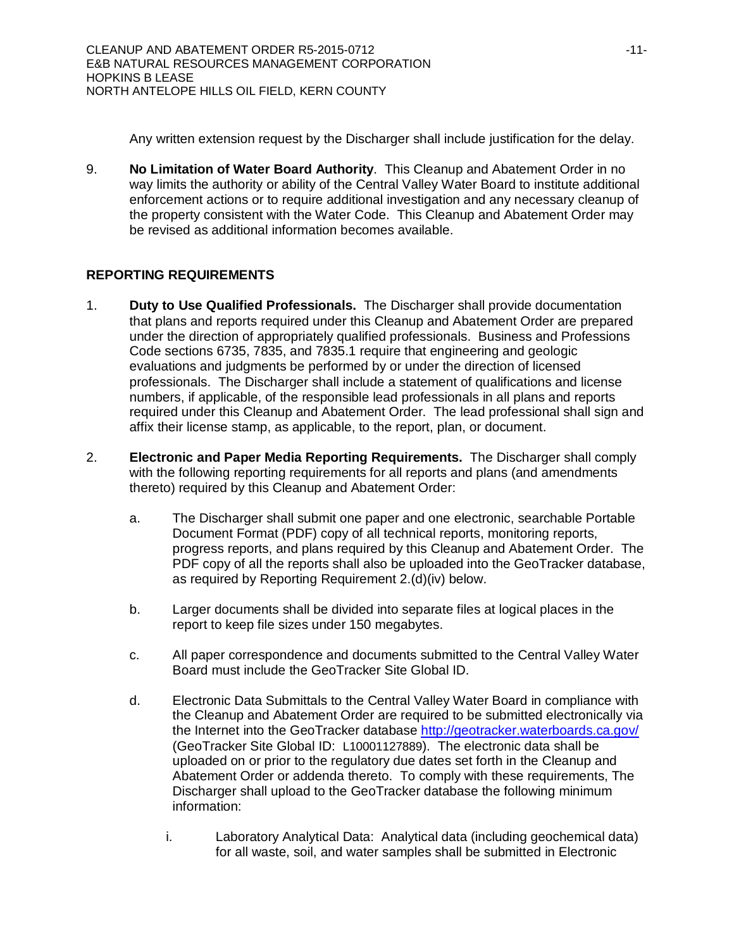Any written extension request by the Discharger shall include justification for the delay.

9. **No Limitation of Water Board Authority**. This Cleanup and Abatement Order in no way limits the authority or ability of the Central Valley Water Board to institute additional enforcement actions or to require additional investigation and any necessary cleanup of the property consistent with the Water Code. This Cleanup and Abatement Order may be revised as additional information becomes available.

# **REPORTING REQUIREMENTS**

- 1. **Duty to Use Qualified Professionals.** The Discharger shall provide documentation that plans and reports required under this Cleanup and Abatement Order are prepared under the direction of appropriately qualified professionals. Business and Professions Code sections 6735, 7835, and 7835.1 require that engineering and geologic evaluations and judgments be performed by or under the direction of licensed professionals. The Discharger shall include a statement of qualifications and license numbers, if applicable, of the responsible lead professionals in all plans and reports required under this Cleanup and Abatement Order. The lead professional shall sign and affix their license stamp, as applicable, to the report, plan, or document.
- 2. **Electronic and Paper Media Reporting Requirements.** The Discharger shall comply with the following reporting requirements for all reports and plans (and amendments thereto) required by this Cleanup and Abatement Order:
	- a. The Discharger shall submit one paper and one electronic, searchable Portable Document Format (PDF) copy of all technical reports, monitoring reports, progress reports, and plans required by this Cleanup and Abatement Order. The PDF copy of all the reports shall also be uploaded into the GeoTracker database, as required by Reporting Requirement 2.(d)(iv) below.
	- b. Larger documents shall be divided into separate files at logical places in the report to keep file sizes under 150 megabytes.
	- c. All paper correspondence and documents submitted to the Central Valley Water Board must include the GeoTracker Site Global ID.
	- d. Electronic Data Submittals to the Central Valley Water Board in compliance with the Cleanup and Abatement Order are required to be submitted electronically via the Internet into the GeoTracker database http://geotracker.waterboards.ca.gov/ (GeoTracker Site Global ID: L10001127889). The electronic data shall be uploaded on or prior to the regulatory due dates set forth in the Cleanup and Abatement Order or addenda thereto. To comply with these requirements, The Discharger shall upload to the GeoTracker database the following minimum information:
		- i. Laboratory Analytical Data: Analytical data (including geochemical data) for all waste, soil, and water samples shall be submitted in Electronic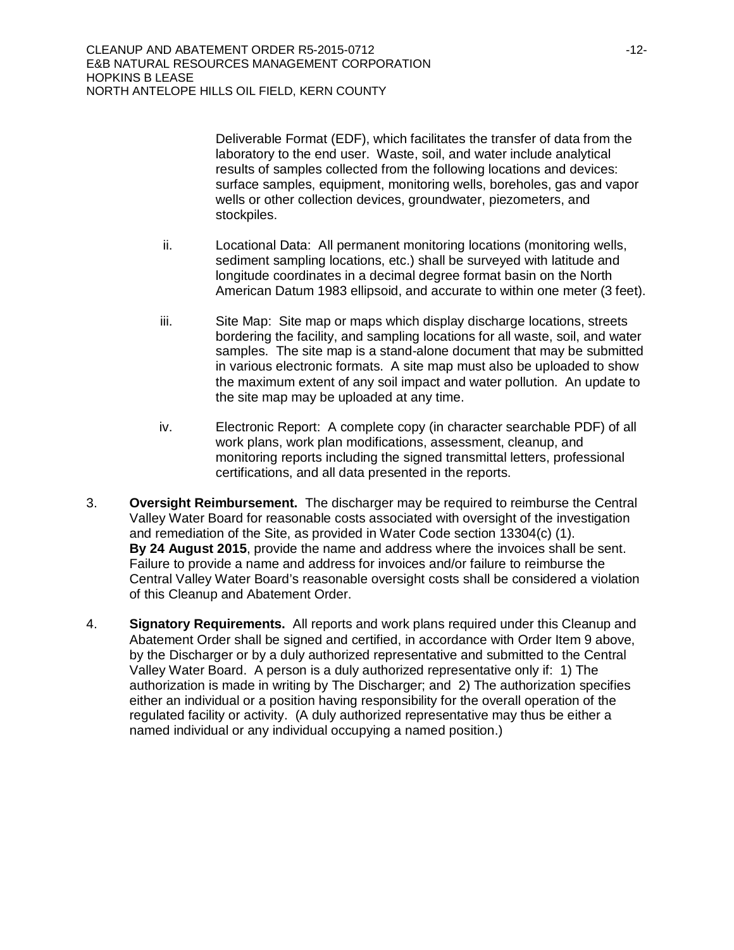Deliverable Format (EDF), which facilitates the transfer of data from the laboratory to the end user. Waste, soil, and water include analytical results of samples collected from the following locations and devices: surface samples, equipment, monitoring wells, boreholes, gas and vapor wells or other collection devices, groundwater, piezometers, and stockpiles.

- ii. Locational Data: All permanent monitoring locations (monitoring wells, sediment sampling locations, etc.) shall be surveyed with latitude and longitude coordinates in a decimal degree format basin on the North American Datum 1983 ellipsoid, and accurate to within one meter (3 feet).
- iii. Site Map: Site map or maps which display discharge locations, streets bordering the facility, and sampling locations for all waste, soil, and water samples. The site map is a stand-alone document that may be submitted in various electronic formats. A site map must also be uploaded to show the maximum extent of any soil impact and water pollution. An update to the site map may be uploaded at any time.
- iv. Electronic Report: A complete copy (in character searchable PDF) of all work plans, work plan modifications, assessment, cleanup, and monitoring reports including the signed transmittal letters, professional certifications, and all data presented in the reports.
- 3. **Oversight Reimbursement.** The discharger may be required to reimburse the Central Valley Water Board for reasonable costs associated with oversight of the investigation and remediation of the Site, as provided in Water Code section 13304(c) (1). **By 24 August 2015**, provide the name and address where the invoices shall be sent. Failure to provide a name and address for invoices and/or failure to reimburse the Central Valley Water Board's reasonable oversight costs shall be considered a violation of this Cleanup and Abatement Order.
- 4. **Signatory Requirements.** All reports and work plans required under this Cleanup and Abatement Order shall be signed and certified, in accordance with Order Item 9 above, by the Discharger or by a duly authorized representative and submitted to the Central Valley Water Board. A person is a duly authorized representative only if: 1) The authorization is made in writing by The Discharger; and 2) The authorization specifies either an individual or a position having responsibility for the overall operation of the regulated facility or activity. (A duly authorized representative may thus be either a named individual or any individual occupying a named position.)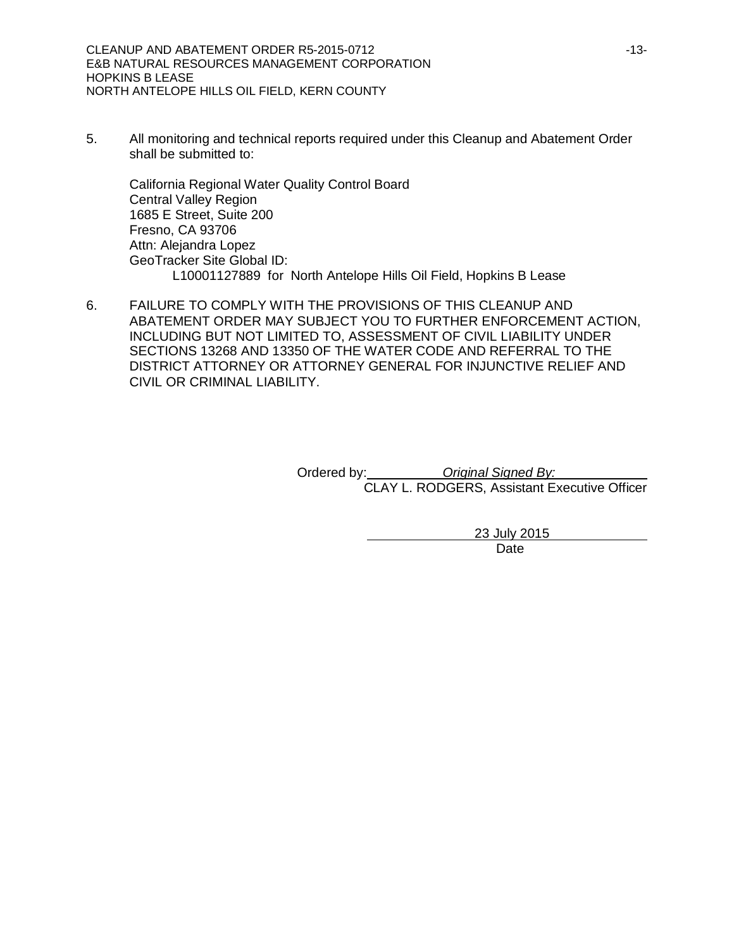5. All monitoring and technical reports required under this Cleanup and Abatement Order shall be submitted to:

California Regional Water Quality Control Board Central Valley Region 1685 E Street, Suite 200 Fresno, CA 93706 Attn: Alejandra Lopez GeoTracker Site Global ID: L10001127889 for North Antelope Hills Oil Field, Hopkins B Lease

6. FAILURE TO COMPLY WITH THE PROVISIONS OF THIS CLEANUP AND ABATEMENT ORDER MAY SUBJECT YOU TO FURTHER ENFORCEMENT ACTION, INCLUDING BUT NOT LIMITED TO, ASSESSMENT OF CIVIL LIABILITY UNDER SECTIONS 13268 AND 13350 OF THE WATER CODE AND REFERRAL TO THE DISTRICT ATTORNEY OR ATTORNEY GENERAL FOR INJUNCTIVE RELIEF AND CIVIL OR CRIMINAL LIABILITY.

> Ordered by: *Original Signed By:* CLAY L. RODGERS, Assistant Executive Officer

> > 23 July 2015 Date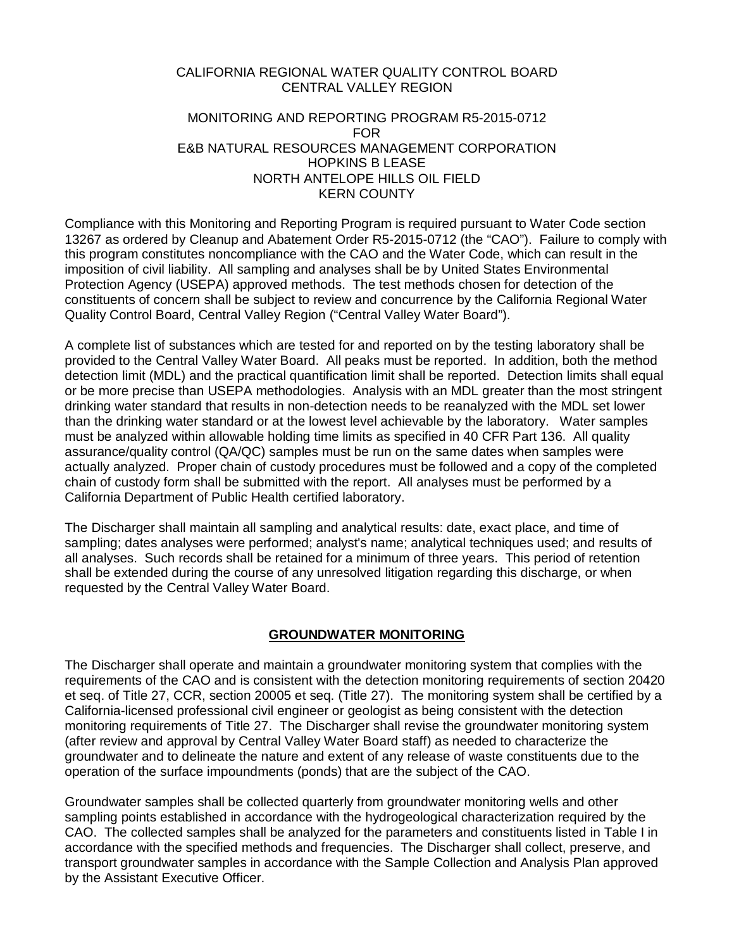### CALIFORNIA REGIONAL WATER QUALITY CONTROL BOARD CENTRAL VALLEY REGION

### MONITORING AND REPORTING PROGRAM R5-2015-0712 FOR E&B NATURAL RESOURCES MANAGEMENT CORPORATION HOPKINS B LEASE NORTH ANTELOPE HILLS OIL FIELD KERN COUNTY

Compliance with this Monitoring and Reporting Program is required pursuant to Water Code section 13267 as ordered by Cleanup and Abatement Order R5-2015-0712 (the "CAO"). Failure to comply with this program constitutes noncompliance with the CAO and the Water Code, which can result in the imposition of civil liability. All sampling and analyses shall be by United States Environmental Protection Agency (USEPA) approved methods. The test methods chosen for detection of the constituents of concern shall be subject to review and concurrence by the California Regional Water Quality Control Board, Central Valley Region ("Central Valley Water Board").

A complete list of substances which are tested for and reported on by the testing laboratory shall be provided to the Central Valley Water Board. All peaks must be reported. In addition, both the method detection limit (MDL) and the practical quantification limit shall be reported. Detection limits shall equal or be more precise than USEPA methodologies. Analysis with an MDL greater than the most stringent drinking water standard that results in non-detection needs to be reanalyzed with the MDL set lower than the drinking water standard or at the lowest level achievable by the laboratory. Water samples must be analyzed within allowable holding time limits as specified in 40 CFR Part 136. All quality assurance/quality control (QA/QC) samples must be run on the same dates when samples were actually analyzed. Proper chain of custody procedures must be followed and a copy of the completed chain of custody form shall be submitted with the report. All analyses must be performed by a California Department of Public Health certified laboratory.

The Discharger shall maintain all sampling and analytical results: date, exact place, and time of sampling; dates analyses were performed; analyst's name; analytical techniques used; and results of all analyses. Such records shall be retained for a minimum of three years. This period of retention shall be extended during the course of any unresolved litigation regarding this discharge, or when requested by the Central Valley Water Board.

# **GROUNDWATER MONITORING**

The Discharger shall operate and maintain a groundwater monitoring system that complies with the requirements of the CAO and is consistent with the detection monitoring requirements of section 20420 et seq. of Title 27, CCR, section 20005 et seq. (Title 27). The monitoring system shall be certified by a California-licensed professional civil engineer or geologist as being consistent with the detection monitoring requirements of Title 27. The Discharger shall revise the groundwater monitoring system (after review and approval by Central Valley Water Board staff) as needed to characterize the groundwater and to delineate the nature and extent of any release of waste constituents due to the operation of the surface impoundments (ponds) that are the subject of the CAO.

Groundwater samples shall be collected quarterly from groundwater monitoring wells and other sampling points established in accordance with the hydrogeological characterization required by the CAO. The collected samples shall be analyzed for the parameters and constituents listed in Table I in accordance with the specified methods and frequencies. The Discharger shall collect, preserve, and transport groundwater samples in accordance with the Sample Collection and Analysis Plan approved by the Assistant Executive Officer.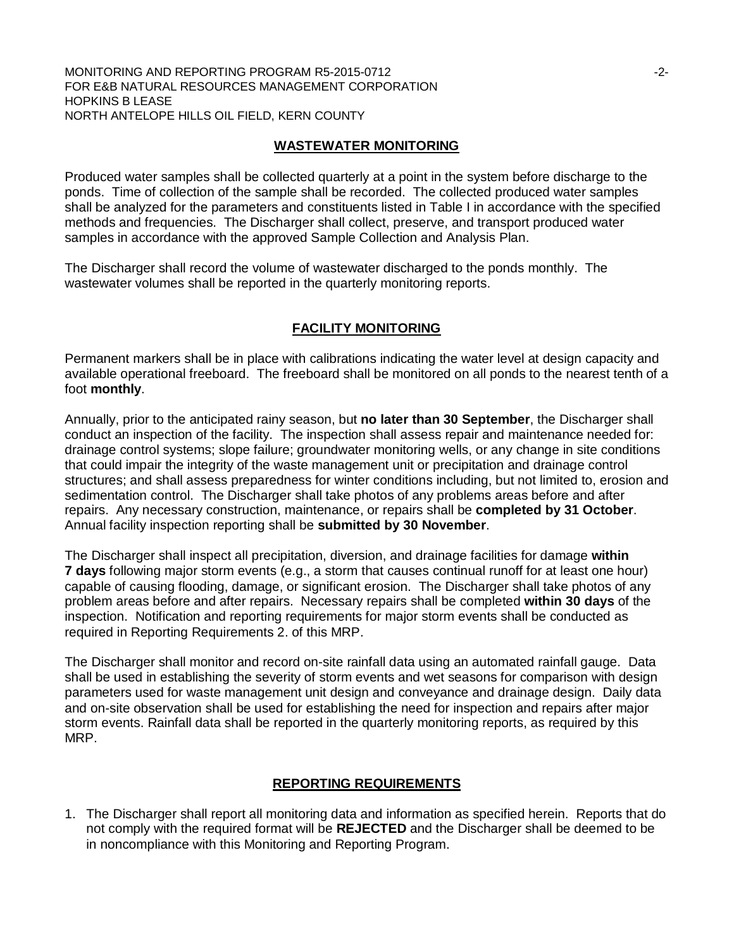#### MONITORING AND REPORTING PROGRAM R5-2015-0712 **For all and the CONITABLE 100 FOR ALCOHOL** FOR E&B NATURAL RESOURCES MANAGEMENT CORPORATION HOPKINS B LEASE NORTH ANTELOPE HILLS OIL FIELD, KERN COUNTY

### **WASTEWATER MONITORING**

Produced water samples shall be collected quarterly at a point in the system before discharge to the ponds. Time of collection of the sample shall be recorded. The collected produced water samples shall be analyzed for the parameters and constituents listed in Table I in accordance with the specified methods and frequencies. The Discharger shall collect, preserve, and transport produced water samples in accordance with the approved Sample Collection and Analysis Plan.

The Discharger shall record the volume of wastewater discharged to the ponds monthly. The wastewater volumes shall be reported in the quarterly monitoring reports.

### **FACILITY MONITORING**

Permanent markers shall be in place with calibrations indicating the water level at design capacity and available operational freeboard. The freeboard shall be monitored on all ponds to the nearest tenth of a foot **monthly**.

Annually, prior to the anticipated rainy season, but **no later than 30 September**, the Discharger shall conduct an inspection of the facility. The inspection shall assess repair and maintenance needed for: drainage control systems; slope failure; groundwater monitoring wells, or any change in site conditions that could impair the integrity of the waste management unit or precipitation and drainage control structures; and shall assess preparedness for winter conditions including, but not limited to, erosion and sedimentation control. The Discharger shall take photos of any problems areas before and after repairs. Any necessary construction, maintenance, or repairs shall be **completed by 31 October**. Annual facility inspection reporting shall be **submitted by 30 November**.

The Discharger shall inspect all precipitation, diversion, and drainage facilities for damage **within 7 days** following major storm events (e.g., a storm that causes continual runoff for at least one hour) capable of causing flooding, damage, or significant erosion. The Discharger shall take photos of any problem areas before and after repairs. Necessary repairs shall be completed **within 30 days** of the inspection. Notification and reporting requirements for major storm events shall be conducted as required in Reporting Requirements 2. of this MRP.

The Discharger shall monitor and record on-site rainfall data using an automated rainfall gauge. Data shall be used in establishing the severity of storm events and wet seasons for comparison with design parameters used for waste management unit design and conveyance and drainage design. Daily data and on-site observation shall be used for establishing the need for inspection and repairs after major storm events. Rainfall data shall be reported in the quarterly monitoring reports, as required by this MRP.

#### **REPORTING REQUIREMENTS**

1. The Discharger shall report all monitoring data and information as specified herein. Reports that do not comply with the required format will be **REJECTED** and the Discharger shall be deemed to be in noncompliance with this Monitoring and Reporting Program.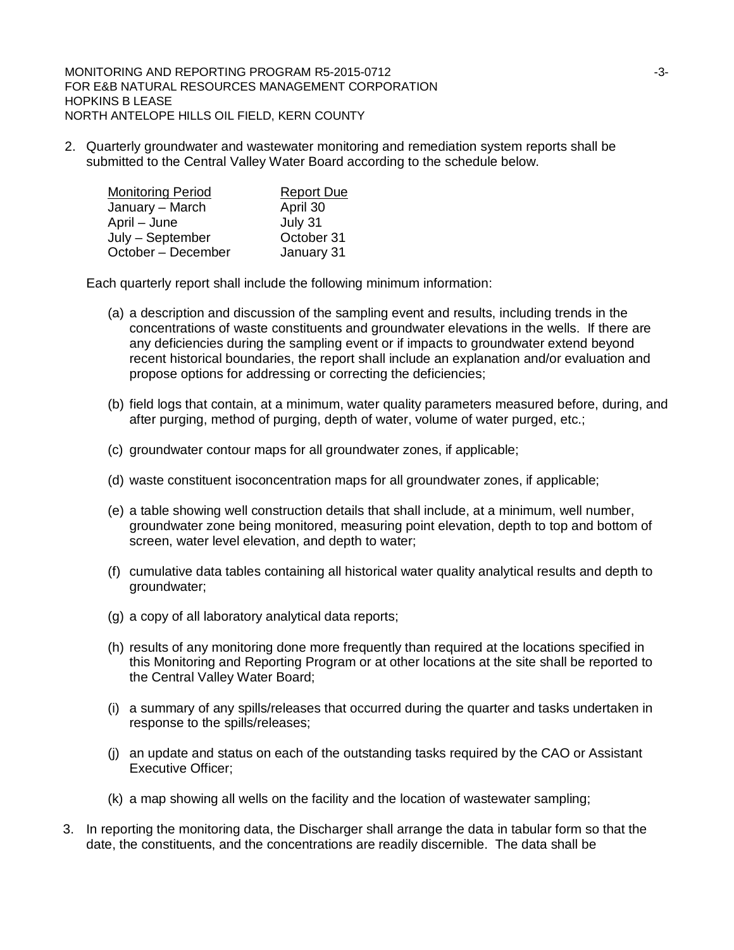MONITORING AND REPORTING PROGRAM R5-2015-0712 **And Contact Structure Contact And Contact And Contact And Contact A** FOR E&B NATURAL RESOURCES MANAGEMENT CORPORATION HOPKINS B LEASE NORTH ANTELOPE HILLS OIL FIELD, KERN COUNTY

2. Quarterly groundwater and wastewater monitoring and remediation system reports shall be submitted to the Central Valley Water Board according to the schedule below.

| <b>Monitoring Period</b> | <b>Report Due</b> |
|--------------------------|-------------------|
| January – March          | April 30          |
| April – June             | July 31           |
| July - September         | October 31        |
| October - December       | January 31        |

Each quarterly report shall include the following minimum information:

- (a) a description and discussion of the sampling event and results, including trends in the concentrations of waste constituents and groundwater elevations in the wells. If there are any deficiencies during the sampling event or if impacts to groundwater extend beyond recent historical boundaries, the report shall include an explanation and/or evaluation and propose options for addressing or correcting the deficiencies;
- (b) field logs that contain, at a minimum, water quality parameters measured before, during, and after purging, method of purging, depth of water, volume of water purged, etc.;
- (c) groundwater contour maps for all groundwater zones, if applicable;
- (d) waste constituent isoconcentration maps for all groundwater zones, if applicable;
- (e) a table showing well construction details that shall include, at a minimum, well number, groundwater zone being monitored, measuring point elevation, depth to top and bottom of screen, water level elevation, and depth to water;
- (f) cumulative data tables containing all historical water quality analytical results and depth to groundwater;
- (g) a copy of all laboratory analytical data reports;
- (h) results of any monitoring done more frequently than required at the locations specified in this Monitoring and Reporting Program or at other locations at the site shall be reported to the Central Valley Water Board;
- (i) a summary of any spills/releases that occurred during the quarter and tasks undertaken in response to the spills/releases;
- (j) an update and status on each of the outstanding tasks required by the CAO or Assistant Executive Officer;
- (k) a map showing all wells on the facility and the location of wastewater sampling;
- 3. In reporting the monitoring data, the Discharger shall arrange the data in tabular form so that the date, the constituents, and the concentrations are readily discernible. The data shall be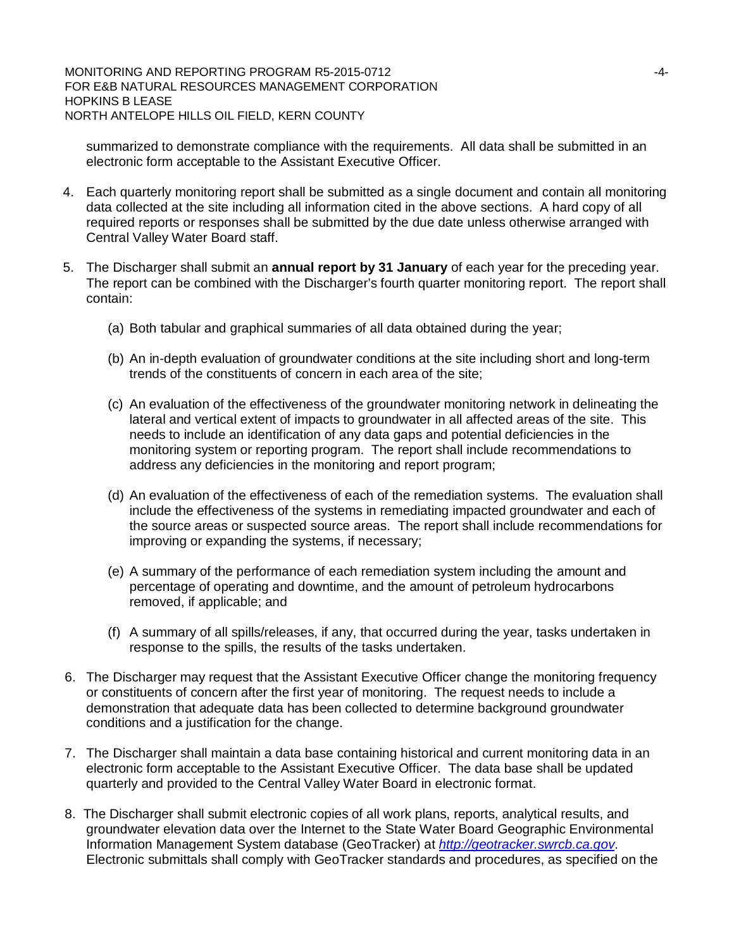MONITORING AND REPORTING PROGRAM R5-2015-0712 **ALCORY 100 ACCOMMUNITION** FOR E&B NATURAL RESOURCES MANAGEMENT CORPORATION HOPKINS B LEASE NORTH ANTELOPE HILLS OIL FIELD, KERN COUNTY

summarized to demonstrate compliance with the requirements. All data shall be submitted in an electronic form acceptable to the Assistant Executive Officer.

- 4. Each quarterly monitoring report shall be submitted as a single document and contain all monitoring data collected at the site including all information cited in the above sections. A hard copy of all required reports or responses shall be submitted by the due date unless otherwise arranged with Central Valley Water Board staff.
- 5. The Discharger shall submit an **annual report by 31 January** of each year for the preceding year. The report can be combined with the Discharger's fourth quarter monitoring report. The report shall contain:
	- (a) Both tabular and graphical summaries of all data obtained during the year;
	- (b) An in-depth evaluation of groundwater conditions at the site including short and long-term trends of the constituents of concern in each area of the site;
	- (c) An evaluation of the effectiveness of the groundwater monitoring network in delineating the lateral and vertical extent of impacts to groundwater in all affected areas of the site. This needs to include an identification of any data gaps and potential deficiencies in the monitoring system or reporting program. The report shall include recommendations to address any deficiencies in the monitoring and report program;
	- (d) An evaluation of the effectiveness of each of the remediation systems. The evaluation shall include the effectiveness of the systems in remediating impacted groundwater and each of the source areas or suspected source areas. The report shall include recommendations for improving or expanding the systems, if necessary;
	- (e) A summary of the performance of each remediation system including the amount and percentage of operating and downtime, and the amount of petroleum hydrocarbons removed, if applicable; and
	- (f) A summary of all spills/releases, if any, that occurred during the year, tasks undertaken in response to the spills, the results of the tasks undertaken.
- 6. The Discharger may request that the Assistant Executive Officer change the monitoring frequency or constituents of concern after the first year of monitoring. The request needs to include a demonstration that adequate data has been collected to determine background groundwater conditions and a justification for the change.
- 7. The Discharger shall maintain a data base containing historical and current monitoring data in an electronic form acceptable to the Assistant Executive Officer. The data base shall be updated quarterly and provided to the Central Valley Water Board in electronic format.
- 8. The Discharger shall submit electronic copies of all work plans, reports, analytical results, and groundwater elevation data over the Internet to the State Water Board Geographic Environmental Information Management System database (GeoTracker) at *http://geotracker.swrcb.ca.gov*. Electronic submittals shall comply with GeoTracker standards and procedures, as specified on the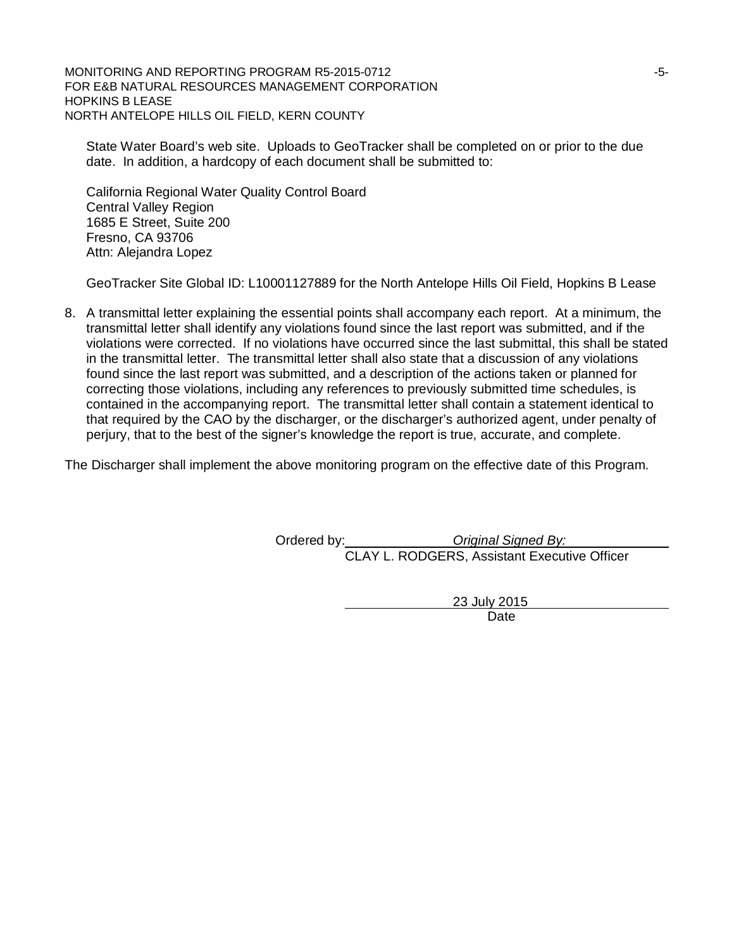MONITORING AND REPORTING PROGRAM R5-2015-0712 **FOUR SET AND REPORTING** PROGRAM R5-2015-0712 FOR E&B NATURAL RESOURCES MANAGEMENT CORPORATION HOPKINS B LEASE NORTH ANTELOPE HILLS OIL FIELD, KERN COUNTY

State Water Board's web site. Uploads to GeoTracker shall be completed on or prior to the due date. In addition, a hardcopy of each document shall be submitted to:

California Regional Water Quality Control Board Central Valley Region 1685 E Street, Suite 200 Fresno, CA 93706 Attn: Alejandra Lopez

GeoTracker Site Global ID: L10001127889 for the North Antelope Hills Oil Field, Hopkins B Lease

8. A transmittal letter explaining the essential points shall accompany each report. At a minimum, the transmittal letter shall identify any violations found since the last report was submitted, and if the violations were corrected. If no violations have occurred since the last submittal, this shall be stated in the transmittal letter. The transmittal letter shall also state that a discussion of any violations found since the last report was submitted, and a description of the actions taken or planned for correcting those violations, including any references to previously submitted time schedules, is contained in the accompanying report. The transmittal letter shall contain a statement identical to that required by the CAO by the discharger, or the discharger's authorized agent, under penalty of perjury, that to the best of the signer's knowledge the report is true, accurate, and complete.

The Discharger shall implement the above monitoring program on the effective date of this Program.

Ordered by: *Original Signed By:* CLAY L. RODGERS, Assistant Executive Officer

> 23 July 2015 Date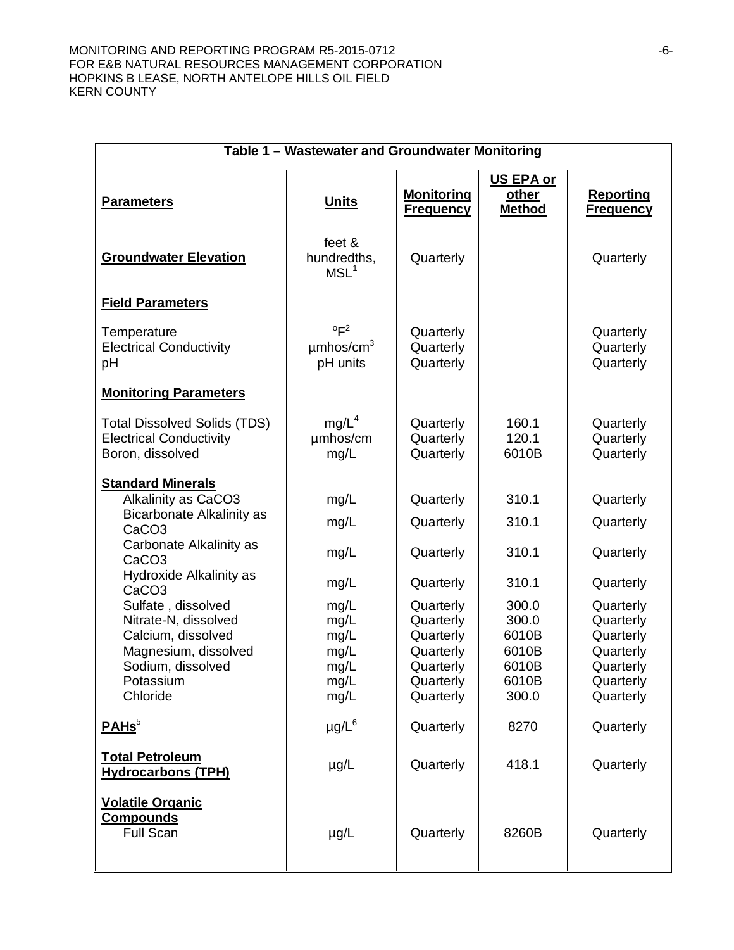#### MONITORING AND REPORTING PROGRAM R5-2015-0712 **FOUR SETAINAL REPORTING** PROGRAM R5-2015-0712 FOR E&B NATURAL RESOURCES MANAGEMENT CORPORATION HOPKINS B LEASE, NORTH ANTELOPE HILLS OIL FIELD KERN COUNTY

| Table 1 - Wastewater and Groundwater Monitoring                                           |                                                          |                                       |                                            |                                      |
|-------------------------------------------------------------------------------------------|----------------------------------------------------------|---------------------------------------|--------------------------------------------|--------------------------------------|
| <b>Parameters</b>                                                                         | <b>Units</b>                                             | <b>Monitoring</b><br><b>Frequency</b> | <b>US EPA or</b><br>other<br><b>Method</b> | <b>Reporting</b><br><b>Frequency</b> |
| <b>Groundwater Elevation</b>                                                              | feet &<br>hundredths,<br>MSL <sup>1</sup>                | Quarterly                             |                                            | Quarterly                            |
| <b>Field Parameters</b>                                                                   |                                                          |                                       |                                            |                                      |
| Temperature<br><b>Electrical Conductivity</b><br>pH                                       | $\mathrm{P}^2$<br>$\mu$ mhos/cm <sup>3</sup><br>pH units | Quarterly<br>Quarterly<br>Quarterly   |                                            | Quarterly<br>Quarterly<br>Quarterly  |
| <b>Monitoring Parameters</b>                                                              |                                                          |                                       |                                            |                                      |
| <b>Total Dissolved Solids (TDS)</b><br><b>Electrical Conductivity</b><br>Boron, dissolved | mg/L <sup>4</sup><br>umhos/cm<br>mg/L                    | Quarterly<br>Quarterly<br>Quarterly   | 160.1<br>120.1<br>6010B                    | Quarterly<br>Quarterly<br>Quarterly  |
| <b>Standard Minerals</b>                                                                  |                                                          |                                       |                                            |                                      |
| Alkalinity as CaCO3<br><b>Bicarbonate Alkalinity as</b>                                   | mg/L                                                     | Quarterly                             | 310.1                                      | Quarterly                            |
| CaCO <sub>3</sub>                                                                         | mg/L                                                     | Quarterly                             | 310.1                                      | Quarterly                            |
| Carbonate Alkalinity as<br>CaCO <sub>3</sub>                                              | mg/L                                                     | Quarterly                             | 310.1                                      | Quarterly                            |
| Hydroxide Alkalinity as<br>CaCO <sub>3</sub>                                              | mg/L                                                     | Quarterly                             | 310.1                                      | Quarterly                            |
| Sulfate, dissolved<br>Nitrate-N, dissolved                                                | mg/L<br>mg/L                                             | Quarterly<br>Quarterly                | 300.0<br>300.0                             | Quarterly<br>Quarterly               |
| Calcium, dissolved                                                                        | mg/L                                                     | Quarterly                             | 6010B                                      | Quarterly                            |
| Magnesium, dissolved<br>Sodium, dissolved                                                 | mg/L<br>mg/L                                             | Quarterly<br>Quarterly                | 6010B<br>6010B                             | Quarterly<br>Quarterly               |
| Potassium                                                                                 | mg/L                                                     | Quarterly                             | 6010B                                      | Quarterly                            |
| Chloride                                                                                  | mg/L                                                     | Quarterly                             | 300.0                                      | Quarterly                            |
| PAHS <sup>5</sup>                                                                         | $\mu$ g/L $^6$                                           | Quarterly                             | 8270                                       | Quarterly                            |
| <b>Total Petroleum</b><br><b>Hydrocarbons (TPH)</b>                                       | $\mu$ g/L                                                | Quarterly                             | 418.1                                      | Quarterly                            |
| <b>Volatile Organic</b><br><b>Compounds</b><br><b>Full Scan</b>                           | $\mu$ g/L                                                | Quarterly                             | 8260B                                      | Quarterly                            |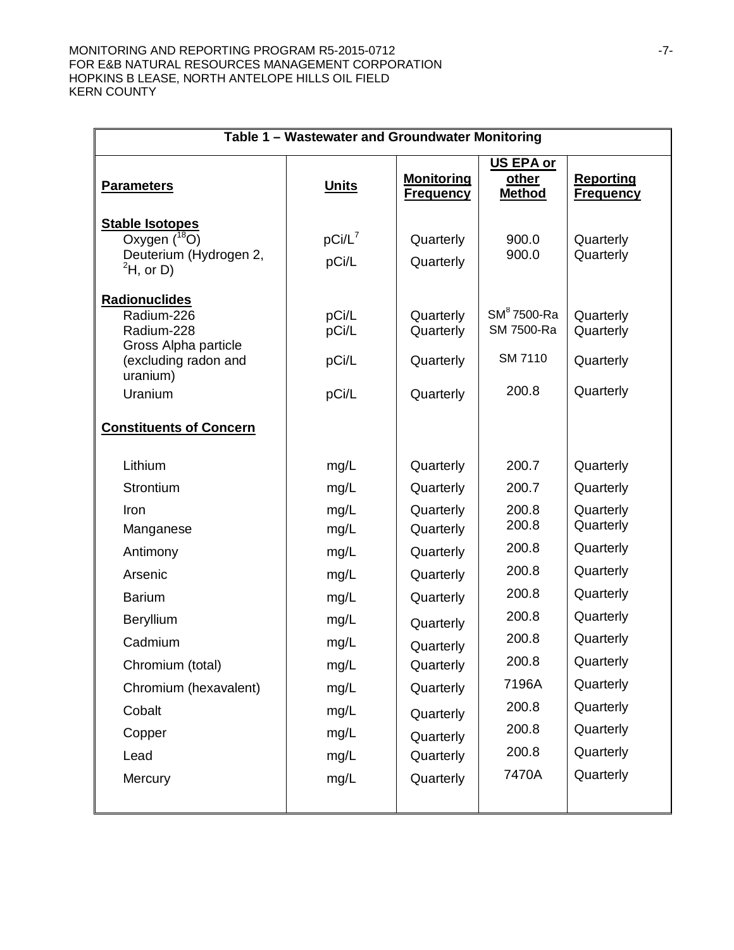#### MONITORING AND REPORTING PROGRAM R5-2015-0712 **For all the STATE STATE** FOR E&B NATURAL RESOURCES MANAGEMENT CORPORATION HOPKINS B LEASE, NORTH ANTELOPE HILLS OIL FIELD KERN COUNTY

| Table 1 - Wastewater and Groundwater Monitoring                                                              |                                                                                                                                                                                    |                                                                                                                                     |                                                                                                                                                                                                 |  |
|--------------------------------------------------------------------------------------------------------------|------------------------------------------------------------------------------------------------------------------------------------------------------------------------------------|-------------------------------------------------------------------------------------------------------------------------------------|-------------------------------------------------------------------------------------------------------------------------------------------------------------------------------------------------|--|
| <b>Units</b>                                                                                                 | <b>Monitoring</b><br><b>Frequency</b>                                                                                                                                              | <b>US EPA or</b><br>other<br><b>Method</b>                                                                                          | <b>Reporting</b><br><b>Frequency</b>                                                                                                                                                            |  |
| $pCi/L^7$<br>pCi/L                                                                                           | Quarterly<br>Quarterly                                                                                                                                                             | 900.0<br>900.0                                                                                                                      | Quarterly<br>Quarterly                                                                                                                                                                          |  |
| pCi/L<br>pCi/L<br>pCi/L<br>pCi/L                                                                             | Quarterly<br>Quarterly<br>Quarterly<br>Quarterly                                                                                                                                   | $SM8$ 7500-Ra<br>SM 7500-Ra<br><b>SM 7110</b><br>200.8                                                                              | Quarterly<br>Quarterly<br>Quarterly<br>Quarterly                                                                                                                                                |  |
|                                                                                                              |                                                                                                                                                                                    |                                                                                                                                     |                                                                                                                                                                                                 |  |
| mg/L<br>mg/L<br>mg/L<br>mg/L<br>mg/L<br>mg/L<br>mg/L<br>mg/L<br>mg/L<br>mg/L<br>mg/L<br>mg/L<br>mg/L<br>mg/L | Quarterly<br>Quarterly<br>Quarterly<br>Quarterly<br>Quarterly<br>Quarterly<br>Quarterly<br>Quarterly<br>Quarterly<br>Quarterly<br>Quarterly<br>Quarterly<br>Quarterly<br>Quarterly | 200.7<br>200.7<br>200.8<br>200.8<br>200.8<br>200.8<br>200.8<br>200.8<br>200.8<br>200.8<br>7196A<br>200.8<br>200.8<br>200.8<br>7470A | Quarterly<br>Quarterly<br>Quarterly<br>Quarterly<br>Quarterly<br>Quarterly<br>Quarterly<br>Quarterly<br>Quarterly<br>Quarterly<br>Quarterly<br>Quarterly<br>Quarterly<br>Quarterly<br>Quarterly |  |
|                                                                                                              | mg/L                                                                                                                                                                               | Quarterly                                                                                                                           |                                                                                                                                                                                                 |  |